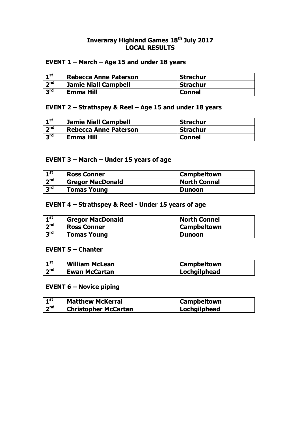#### **Inveraray Highland Games 18th July 2017 LOCAL RESULTS**

### **EVENT 1 – March – Age 15 and under 18 years**

| $\mathbf{I}$ st | <b>Rebecca Anne Paterson</b> | . Strachur      |
|-----------------|------------------------------|-----------------|
| 2 <sup>nd</sup> | <b>Jamie Niall Campbell</b>  | <b>Strachur</b> |
| $3^{\text{rd}}$ | Emma Hill                    | <b>Connel</b>   |

### **EVENT 2 – Strathspey & Reel – Age 15 and under 18 years**

| $\mathbf{I}^{\text{st}}$ | <b>Jamie Niall Campbell</b>  | <b>Strachur</b> |
|--------------------------|------------------------------|-----------------|
| 2 <sub>nd</sub>          | <b>Rebecca Anne Paterson</b> | <b>Strachur</b> |
| $R^{\text{rd}}$          | Emma Hill                    | <b>Connel</b>   |

### **EVENT 3 – March – Under 15 years of age**

| ⊣st             | <b>Ross Conner</b>      | <b>Campbeltown</b>  |
|-----------------|-------------------------|---------------------|
| 2 <sub>nd</sub> | <b>Gregor MacDonald</b> | <b>North Connel</b> |
| $R^{\text{rd}}$ | <b>Tomas Young</b>      | <b>Dunoon</b>       |

## **EVENT 4 – Strathspey & Reel - Under 15 years of age**

| $\mathbf{I}^{\text{st}}$ | <b>Gregor MacDonald</b> | <b>North Connel</b> |
|--------------------------|-------------------------|---------------------|
| 2 <sub>nd</sub>          | <b>Ross Conner</b>      | <b>Campbeltown</b>  |
| $2^{\text{rd}}$          | <b>Tomas Young</b>      | <b>Dunoon</b>       |

#### **EVENT 5 – Chanter**

| ⊣ st            | <b>William McLean</b> | <b>Campbeltown</b> |
|-----------------|-----------------------|--------------------|
| $\mathbf{A}$ nd | <b>Ewan McCartan</b>  | Lochgilphead       |

### **EVENT 6 – Novice piping**

| 4 st | <b>Matthew McKerral</b>     | <b>Campbeltown</b> |
|------|-----------------------------|--------------------|
| ndך  | <b>Christopher McCartan</b> | Lochgilphead       |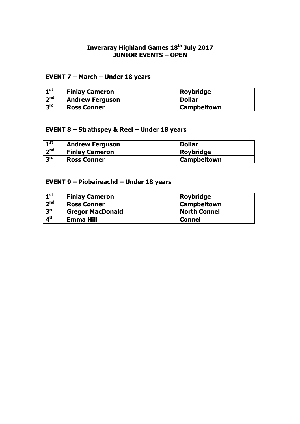#### **Inveraray Highland Games 18th July 2017 JUNIOR EVENTS – OPEN**

## **EVENT 7 – March – Under 18 years**

| $-1$ st         | <b>Finlay Cameron</b>  | Roybridge     |
|-----------------|------------------------|---------------|
| 2 <sub>nd</sub> | <b>Andrew Ferguson</b> | <b>Dollar</b> |
| $R^{\text{rd}}$ | <b>Ross Conner</b>     | Campbeltown   |

## **EVENT 8 – Strathspey & Reel – Under 18 years**

| $\mathbf{1}^{\mathsf{st}}$ | <b>Andrew Ferguson</b> | <b>Dollar</b>    |
|----------------------------|------------------------|------------------|
| 2 <sub>nd</sub>            | <b>Finlay Cameron</b>  | <b>Roybridge</b> |
| $R^{\text{rd}}$            | <b>Ross Conner</b>     | Campbeltown      |

## **EVENT 9 – Piobaireachd – Under 18 years**

| $\mathbf{I}^{\mathsf{st}}$ | <b>Finlay Cameron</b>   | <b>Roybridge</b>    |
|----------------------------|-------------------------|---------------------|
| 2 <sub>nd</sub>            | <b>Ross Conner</b>      | <b>Campbeltown</b>  |
| 3 <sup>rd</sup>            | <b>Gregor MacDonald</b> | <b>North Connel</b> |
| $\overline{A}^{\text{th}}$ | Emma Hill               | <b>Connel</b>       |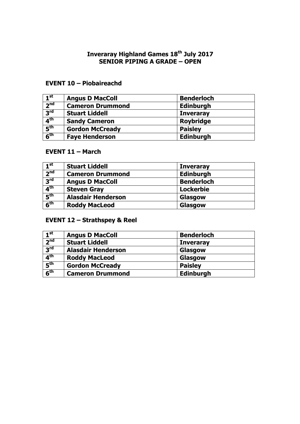#### **Inveraray Highland Games 18th July 2017 SENIOR PIPING A GRADE – OPEN**

## **EVENT 10 – Piobaireachd**

| 1 <sup>st</sup>          | <b>Angus D MacColl</b>  | <b>Benderloch</b> |
|--------------------------|-------------------------|-------------------|
| 2 <sup>nd</sup>          | <b>Cameron Drummond</b> | <b>Edinburgh</b>  |
| 3 <sup>rd</sup>          | <b>Stuart Liddell</b>   | <b>Inveraray</b>  |
| $\mathbf{A}^{\text{th}}$ | <b>Sandy Cameron</b>    | <b>Roybridge</b>  |
| 5 <sup>th</sup>          | <b>Gordon McCready</b>  | <b>Paisley</b>    |
| 6 <sup>th</sup>          | <b>Faye Henderson</b>   | <b>Edinburgh</b>  |

#### **EVENT 11 – March**

| 1 <sup>st</sup> | <b>Stuart Liddell</b>     | <b>Inveraray</b>  |
|-----------------|---------------------------|-------------------|
| 2 <sub>nd</sub> | <b>Cameron Drummond</b>   | <b>Edinburgh</b>  |
| 3 <sup>rd</sup> | <b>Angus D MacColl</b>    | <b>Benderloch</b> |
| 4 <sup>th</sup> | <b>Steven Gray</b>        | <b>Lockerbie</b>  |
| 5 <sup>th</sup> | <b>Alasdair Henderson</b> | Glasgow           |
| 6 <sup>th</sup> | <b>Roddy MacLeod</b>      | Glasgow           |

# **EVENT 12 – Strathspey & Reel**

| 1 <sup>st</sup>            | <b>Angus D MacColl</b>    | <b>Benderloch</b> |
|----------------------------|---------------------------|-------------------|
| $\overline{2^{nd}}$        | <b>Stuart Liddell</b>     | <b>Inveraray</b>  |
| 3 <sup>rd</sup>            | <b>Alasdair Henderson</b> | Glasgow           |
| 4 <sup>th</sup>            | <b>Roddy MacLeod</b>      | Glasgow           |
| 5 <sup>th</sup>            | <b>Gordon McCready</b>    | <b>Paisley</b>    |
| $\overline{6}^{\text{th}}$ | <b>Cameron Drummond</b>   | Edinburgh         |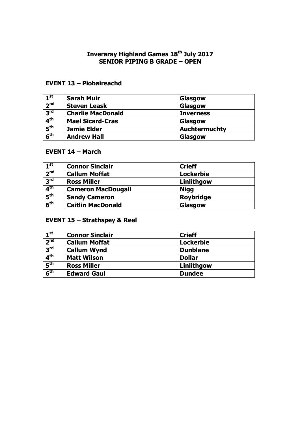#### **Inveraray Highland Games 18th July 2017 SENIOR PIPING B GRADE – OPEN**

## **EVENT 13 – Piobaireachd**

| 1 <sup>st</sup>                     | <b>Sarah Muir</b>        | Glasgow              |
|-------------------------------------|--------------------------|----------------------|
| 2 <sup>nd</sup>                     | <b>Steven Leask</b>      | Glasgow              |
| $\overline{3}^{\text{rd}}$          | <b>Charlie MacDonald</b> | <b>Inverness</b>     |
| 4 <sup>th</sup>                     | <b>Mael Sicard-Cras</b>  | Glasgow              |
| $\overline{\mathbf{5}}^{\text{th}}$ | <b>Jamie Elder</b>       | <b>Auchtermuchty</b> |
| 6 <sup>th</sup>                     | <b>Andrew Hall</b>       | Glasgow              |

#### **EVENT 14 – March**

| $1^{\rm st}$    | <b>Connor Sinclair</b>    | <b>Crieff</b>    |
|-----------------|---------------------------|------------------|
| 2 <sup>nd</sup> | <b>Callum Moffat</b>      | <b>Lockerbie</b> |
| 3 <sup>rd</sup> | <b>Ross Miller</b>        | Linlithgow       |
| 4 <sup>th</sup> | <b>Cameron MacDougall</b> | <b>Nigg</b>      |
| 5 <sup>th</sup> | <b>Sandy Cameron</b>      | <b>Roybridge</b> |
| 6 <sup>th</sup> | <b>Caitlin MacDonald</b>  | Glasgow          |

# **EVENT 15 – Strathspey & Reel**

| 1 <sup>st</sup> | <b>Connor Sinclair</b> | <b>Crieff</b>    |
|-----------------|------------------------|------------------|
| 2 <sup>nd</sup> | <b>Callum Moffat</b>   | <b>Lockerbie</b> |
| 3 <sup>rd</sup> | <b>Callum Wynd</b>     | <b>Dunblane</b>  |
| 4 <sup>th</sup> | <b>Matt Wilson</b>     | <b>Dollar</b>    |
| 5 <sup>th</sup> | <b>Ross Miller</b>     | Linlithgow       |
| 6 <sup>th</sup> | <b>Edward Gaul</b>     | <b>Dundee</b>    |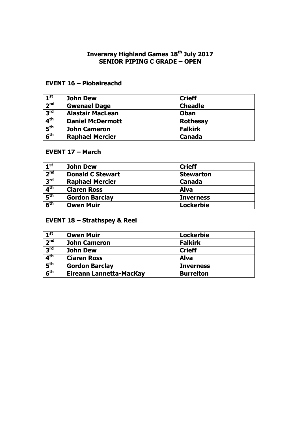#### **Inveraray Highland Games 18th July 2017 SENIOR PIPING C GRADE – OPEN**

## **EVENT 16 – Piobaireachd**

| 1 <sup>st</sup>                     | <b>John Dew</b>         | <b>Crieff</b>   |
|-------------------------------------|-------------------------|-----------------|
| 2 <sup>nd</sup>                     | <b>Gwenael Dage</b>     | <b>Cheadle</b>  |
| 3 <sup>rd</sup>                     | <b>Alastair MacLean</b> | Oban            |
| $\overline{4}^{\text{th}}$          | <b>Daniel McDermott</b> | <b>Rothesay</b> |
| $\overline{\mathbf{5}}^{\text{th}}$ | <b>John Cameron</b>     | <b>Falkirk</b>  |
| 6 <sup>th</sup>                     | <b>Raphael Mercier</b>  | Canada          |

## **EVENT 17 – March**

| 1 <sup>st</sup> | <b>John Dew</b>         | <b>Crieff</b>    |
|-----------------|-------------------------|------------------|
| 2 <sup>nd</sup> | <b>Donald C Stewart</b> | <b>Stewarton</b> |
| 3 <sup>rd</sup> | <b>Raphael Mercier</b>  | <b>Canada</b>    |
| 4 <sup>th</sup> | <b>Ciaren Ross</b>      | <b>Alva</b>      |
| 5 <sup>th</sup> | <b>Gordon Barclay</b>   | <b>Inverness</b> |
| 6 <sup>th</sup> | <b>Owen Muir</b>        | <b>Lockerbie</b> |

# **EVENT 18 – Strathspey & Reel**

| $\mathbf{1}^{\mathsf{st}}$          | <b>Owen Muir</b>        | <b>Lockerbie</b> |
|-------------------------------------|-------------------------|------------------|
| 2 <sup>nd</sup>                     | <b>John Cameron</b>     | <b>Falkirk</b>   |
| 3 <sup>rd</sup>                     | <b>John Dew</b>         | <b>Crieff</b>    |
| 4 <sup>th</sup>                     | <b>Ciaren Ross</b>      | <b>Alva</b>      |
| $\overline{\mathbf{5}}^{\text{th}}$ | <b>Gordon Barclay</b>   | <b>Inverness</b> |
| 6 <sup>th</sup>                     | Eireann Lannetta-MacKay | <b>Burrelton</b> |